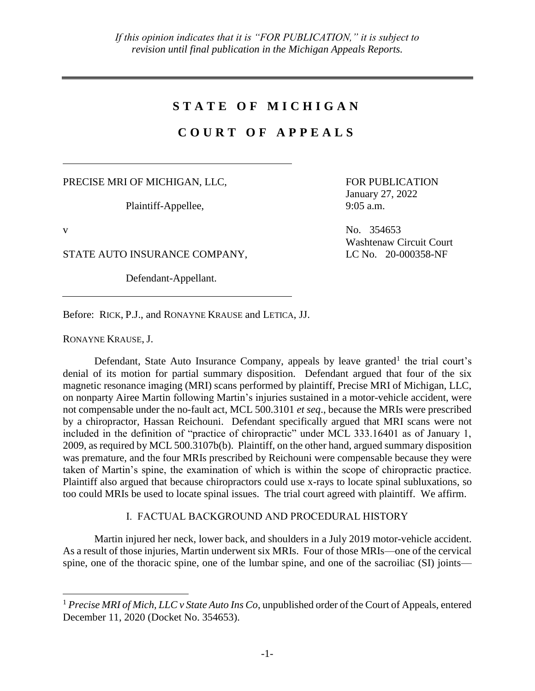# **S T A T E O F M I C H I G A N**

# **C O U R T O F A P P E A L S**

PRECISE MRI OF MICHIGAN, LLC,

Plaintiff-Appellee,

 $\overline{a}$ 

STATE AUTO INSURANCE COMPANY, LC No. 20-000358-NF

Defendant-Appellant.

FOR PUBLICATION January 27, 2022 9:05 a.m.

v No. 354653 Washtenaw Circuit Court

Before: RICK, P.J., and RONAYNE KRAUSE and LETICA, JJ.

RONAYNE KRAUSE, J.

Defendant, State Auto Insurance Company, appeals by leave granted<sup>1</sup> the trial court's denial of its motion for partial summary disposition. Defendant argued that four of the six magnetic resonance imaging (MRI) scans performed by plaintiff, Precise MRI of Michigan, LLC, on nonparty Airee Martin following Martin's injuries sustained in a motor-vehicle accident, were not compensable under the no-fault act, MCL 500.3101 *et seq*., because the MRIs were prescribed by a chiropractor, Hassan Reichouni. Defendant specifically argued that MRI scans were not included in the definition of "practice of chiropractic" under MCL 333.16401 as of January 1, 2009, as required by MCL 500.3107b(b). Plaintiff, on the other hand, argued summary disposition was premature, and the four MRIs prescribed by Reichouni were compensable because they were taken of Martin's spine, the examination of which is within the scope of chiropractic practice. Plaintiff also argued that because chiropractors could use x-rays to locate spinal subluxations, so too could MRIs be used to locate spinal issues. The trial court agreed with plaintiff. We affirm.

I. FACTUAL BACKGROUND AND PROCEDURAL HISTORY

Martin injured her neck, lower back, and shoulders in a July 2019 motor-vehicle accident. As a result of those injuries, Martin underwent six MRIs. Four of those MRIs—one of the cervical spine, one of the thoracic spine, one of the lumbar spine, and one of the sacroiliac (SI) joints—

<sup>1</sup> *Precise MRI of Mich, LLC v State Auto Ins Co*, unpublished order of the Court of Appeals, entered December 11, 2020 (Docket No. 354653).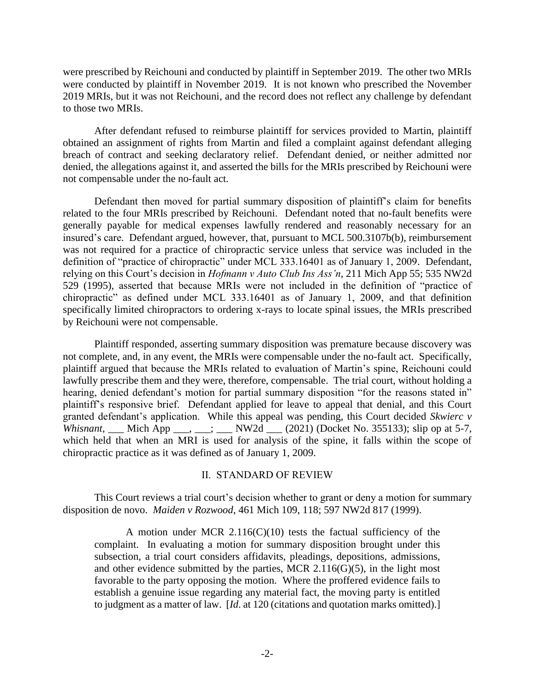were prescribed by Reichouni and conducted by plaintiff in September 2019. The other two MRIs were conducted by plaintiff in November 2019. It is not known who prescribed the November 2019 MRIs, but it was not Reichouni, and the record does not reflect any challenge by defendant to those two MRIs.

After defendant refused to reimburse plaintiff for services provided to Martin, plaintiff obtained an assignment of rights from Martin and filed a complaint against defendant alleging breach of contract and seeking declaratory relief. Defendant denied, or neither admitted nor denied, the allegations against it, and asserted the bills for the MRIs prescribed by Reichouni were not compensable under the no-fault act.

Defendant then moved for partial summary disposition of plaintiff's claim for benefits related to the four MRIs prescribed by Reichouni. Defendant noted that no-fault benefits were generally payable for medical expenses lawfully rendered and reasonably necessary for an insured's care. Defendant argued, however, that, pursuant to MCL 500.3107b(b), reimbursement was not required for a practice of chiropractic service unless that service was included in the definition of "practice of chiropractic" under MCL 333.16401 as of January 1, 2009. Defendant, relying on this Court's decision in *Hofmann v Auto Club Ins Ass'n*, 211 Mich App 55; 535 NW2d 529 (1995), asserted that because MRIs were not included in the definition of "practice of chiropractic" as defined under MCL 333.16401 as of January 1, 2009, and that definition specifically limited chiropractors to ordering x-rays to locate spinal issues, the MRIs prescribed by Reichouni were not compensable.

Plaintiff responded, asserting summary disposition was premature because discovery was not complete, and, in any event, the MRIs were compensable under the no-fault act. Specifically, plaintiff argued that because the MRIs related to evaluation of Martin's spine, Reichouni could lawfully prescribe them and they were, therefore, compensable. The trial court, without holding a hearing, denied defendant's motion for partial summary disposition "for the reasons stated in" plaintiff's responsive brief. Defendant applied for leave to appeal that denial, and this Court granted defendant's application. While this appeal was pending, this Court decided *Skwierc v Whisnant*, Mich App  $\frac{1}{2}$ ,  $\frac{1}{2}$  NW2d  $\frac{1}{2}$  (2021) (Docket No. 355133); slip op at 5-7, which held that when an MRI is used for analysis of the spine, it falls within the scope of chiropractic practice as it was defined as of January 1, 2009.

## II. STANDARD OF REVIEW

This Court reviews a trial court's decision whether to grant or deny a motion for summary disposition de novo. *Maiden v Rozwood*, 461 Mich 109, 118; 597 NW2d 817 (1999).

A motion under MCR  $2.116(C)(10)$  tests the factual sufficiency of the complaint. In evaluating a motion for summary disposition brought under this subsection, a trial court considers affidavits, pleadings, depositions, admissions, and other evidence submitted by the parties, MCR  $2.116(G)(5)$ , in the light most favorable to the party opposing the motion. Where the proffered evidence fails to establish a genuine issue regarding any material fact, the moving party is entitled to judgment as a matter of law. [*Id*. at 120 (citations and quotation marks omitted).]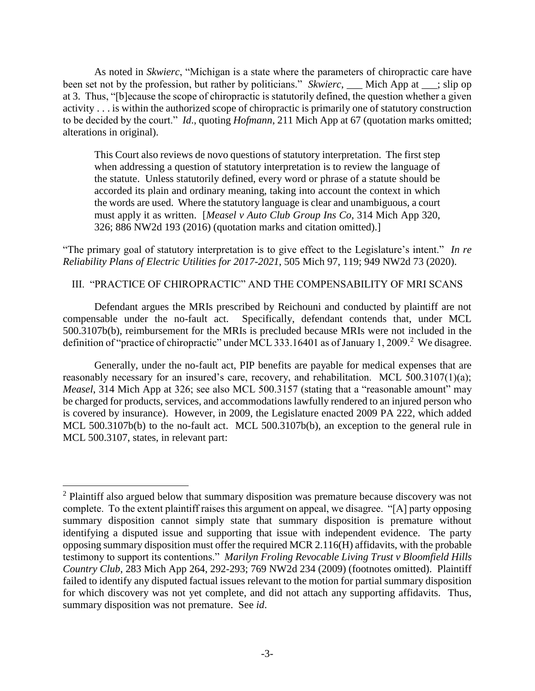As noted in *Skwierc*, "Michigan is a state where the parameters of chiropractic care have been set not by the profession, but rather by politicians." *Skwierc*, Mich App at ; slip op at 3. Thus, "[b]ecause the scope of chiropractic is statutorily defined, the question whether a given activity . . . is within the authorized scope of chiropractic is primarily one of statutory construction to be decided by the court." *Id*., quoting *Hofmann*, 211 Mich App at 67 (quotation marks omitted; alterations in original).

This Court also reviews de novo questions of statutory interpretation. The first step when addressing a question of statutory interpretation is to review the language of the statute. Unless statutorily defined, every word or phrase of a statute should be accorded its plain and ordinary meaning, taking into account the context in which the words are used. Where the statutory language is clear and unambiguous, a court must apply it as written. [*Measel v Auto Club Group Ins Co*, 314 Mich App 320, 326; 886 NW2d 193 (2016) (quotation marks and citation omitted).]

"The primary goal of statutory interpretation is to give effect to the Legislature's intent." *In re Reliability Plans of Electric Utilities for 2017-2021*, 505 Mich 97, 119; 949 NW2d 73 (2020).

III. "PRACTICE OF CHIROPRACTIC" AND THE COMPENSABILITY OF MRI SCANS

Defendant argues the MRIs prescribed by Reichouni and conducted by plaintiff are not compensable under the no-fault act. Specifically, defendant contends that, under MCL 500.3107b(b), reimbursement for the MRIs is precluded because MRIs were not included in the definition of "practice of chiropractic" under MCL 333.16401 as of January 1, 2009.<sup>2</sup> We disagree.

Generally, under the no-fault act, PIP benefits are payable for medical expenses that are reasonably necessary for an insured's care, recovery, and rehabilitation. MCL 500.3107(1)(a); *Measel*, 314 Mich App at 326; see also MCL 500.3157 (stating that a "reasonable amount" may be charged for products, services, and accommodations lawfully rendered to an injured person who is covered by insurance). However, in 2009, the Legislature enacted 2009 PA 222, which added MCL 500.3107b(b) to the no-fault act. MCL 500.3107b(b), an exception to the general rule in MCL 500.3107, states, in relevant part:

 $2$  Plaintiff also argued below that summary disposition was premature because discovery was not complete. To the extent plaintiff raises this argument on appeal, we disagree. "[A] party opposing summary disposition cannot simply state that summary disposition is premature without identifying a disputed issue and supporting that issue with independent evidence. The party opposing summary disposition must offer the required MCR 2.116(H) affidavits, with the probable testimony to support its contentions." *Marilyn Froling Revocable Living Trust v Bloomfield Hills Country Club*, 283 Mich App 264, 292-293; 769 NW2d 234 (2009) (footnotes omitted). Plaintiff failed to identify any disputed factual issues relevant to the motion for partial summary disposition for which discovery was not yet complete, and did not attach any supporting affidavits. Thus, summary disposition was not premature. See *id*.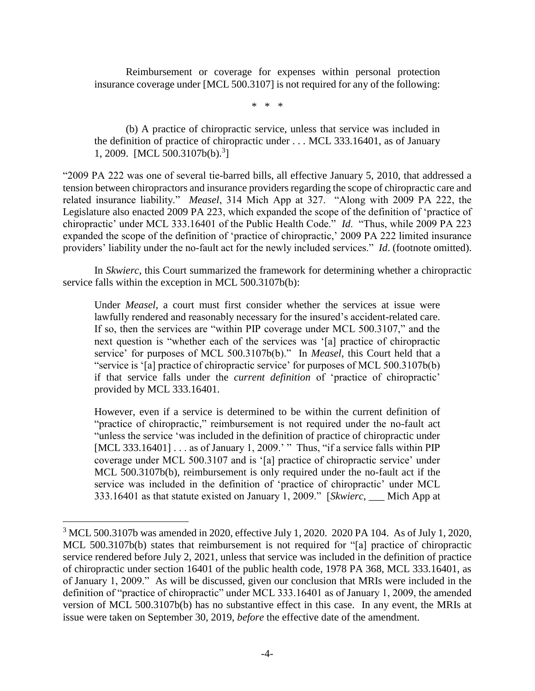Reimbursement or coverage for expenses within personal protection insurance coverage under [MCL 500.3107] is not required for any of the following:

\* \* \*

(b) A practice of chiropractic service, unless that service was included in the definition of practice of chiropractic under . . . MCL 333.16401, as of January 1, 2009. [MCL 500.3107b(b).<sup>3</sup>]

"2009 PA 222 was one of several tie-barred bills, all effective January 5, 2010, that addressed a tension between chiropractors and insurance providers regarding the scope of chiropractic care and related insurance liability." *Measel*, 314 Mich App at 327. "Along with 2009 PA 222, the Legislature also enacted 2009 PA 223, which expanded the scope of the definition of 'practice of chiropractic' under MCL 333.16401 of the Public Health Code." *Id*. "Thus, while 2009 PA 223 expanded the scope of the definition of 'practice of chiropractic,' 2009 PA 222 limited insurance providers' liability under the no-fault act for the newly included services." *Id*. (footnote omitted).

In *Skwierc*, this Court summarized the framework for determining whether a chiropractic service falls within the exception in MCL 500.3107b(b):

Under *Measel*, a court must first consider whether the services at issue were lawfully rendered and reasonably necessary for the insured's accident-related care. If so, then the services are "within PIP coverage under MCL 500.3107," and the next question is "whether each of the services was '[a] practice of chiropractic service' for purposes of MCL 500.3107b(b)." In *Measel*, this Court held that a "service is '[a] practice of chiropractic service' for purposes of MCL 500.3107b(b) if that service falls under the *current definition* of 'practice of chiropractic' provided by MCL 333.16401.

However, even if a service is determined to be within the current definition of "practice of chiropractic," reimbursement is not required under the no-fault act "unless the service 'was included in the definition of practice of chiropractic under [MCL 333.16401] . . . as of January 1, 2009.' " Thus, "if a service falls within PIP coverage under MCL 500.3107 and is '[a] practice of chiropractic service' under MCL 500.3107b(b), reimbursement is only required under the no-fault act if the service was included in the definition of 'practice of chiropractic' under MCL 333.16401 as that statute existed on January 1, 2009." [*Skwierc*, \_\_\_ Mich App at

<sup>3</sup> MCL 500.3107b was amended in 2020, effective July 1, 2020. 2020 PA 104. As of July 1, 2020, MCL 500.3107b(b) states that reimbursement is not required for "[a] practice of chiropractic service rendered before July 2, 2021, unless that service was included in the definition of practice of chiropractic under section 16401 of the public health code, 1978 PA 368, MCL 333.16401, as of January 1, 2009." As will be discussed, given our conclusion that MRIs were included in the definition of "practice of chiropractic" under MCL 333.16401 as of January 1, 2009, the amended version of MCL 500.3107b(b) has no substantive effect in this case. In any event, the MRIs at issue were taken on September 30, 2019, *before* the effective date of the amendment.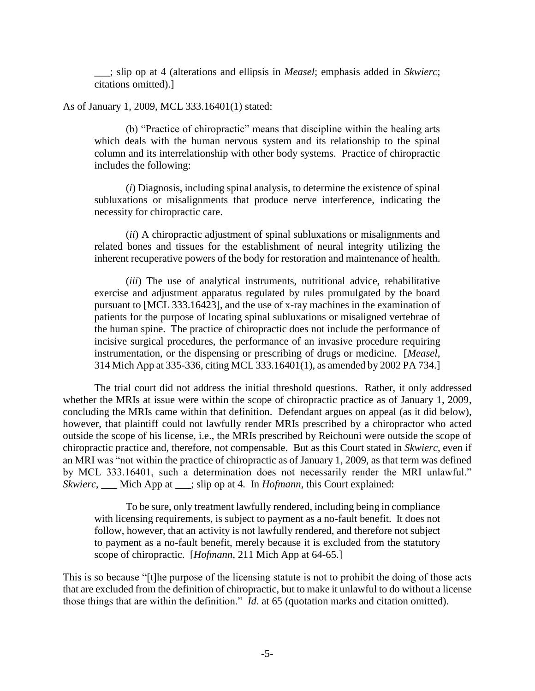\_\_\_; slip op at 4 (alterations and ellipsis in *Measel*; emphasis added in *Skwierc*; citations omitted).]

As of January 1, 2009, MCL 333.16401(1) stated:

(b) "Practice of chiropractic" means that discipline within the healing arts which deals with the human nervous system and its relationship to the spinal column and its interrelationship with other body systems. Practice of chiropractic includes the following:

(*i*) Diagnosis, including spinal analysis, to determine the existence of spinal subluxations or misalignments that produce nerve interference, indicating the necessity for chiropractic care.

(*ii*) A chiropractic adjustment of spinal subluxations or misalignments and related bones and tissues for the establishment of neural integrity utilizing the inherent recuperative powers of the body for restoration and maintenance of health.

(*iii*) The use of analytical instruments, nutritional advice, rehabilitative exercise and adjustment apparatus regulated by rules promulgated by the board pursuant to [MCL 333.16423], and the use of x-ray machines in the examination of patients for the purpose of locating spinal subluxations or misaligned vertebrae of the human spine. The practice of chiropractic does not include the performance of incisive surgical procedures, the performance of an invasive procedure requiring instrumentation, or the dispensing or prescribing of drugs or medicine. [*Measel*, 314 Mich App at 335-336, citing MCL 333.16401(1), as amended by 2002 PA 734.]

The trial court did not address the initial threshold questions. Rather, it only addressed whether the MRIs at issue were within the scope of chiropractic practice as of January 1, 2009, concluding the MRIs came within that definition. Defendant argues on appeal (as it did below), however, that plaintiff could not lawfully render MRIs prescribed by a chiropractor who acted outside the scope of his license, i.e., the MRIs prescribed by Reichouni were outside the scope of chiropractic practice and, therefore, not compensable. But as this Court stated in *Skwierc*, even if an MRI was "not within the practice of chiropractic as of January 1, 2009, as that term was defined by MCL 333.16401, such a determination does not necessarily render the MRI unlawful." *Skwierc*, \_\_\_ Mich App at \_\_\_; slip op at 4. In *Hofmann*, this Court explained:

To be sure, only treatment lawfully rendered, including being in compliance with licensing requirements, is subject to payment as a no-fault benefit. It does not follow, however, that an activity is not lawfully rendered, and therefore not subject to payment as a no-fault benefit, merely because it is excluded from the statutory scope of chiropractic. [*Hofmann*, 211 Mich App at 64-65.]

This is so because "[t]he purpose of the licensing statute is not to prohibit the doing of those acts that are excluded from the definition of chiropractic, but to make it unlawful to do without a license those things that are within the definition." *Id*. at 65 (quotation marks and citation omitted).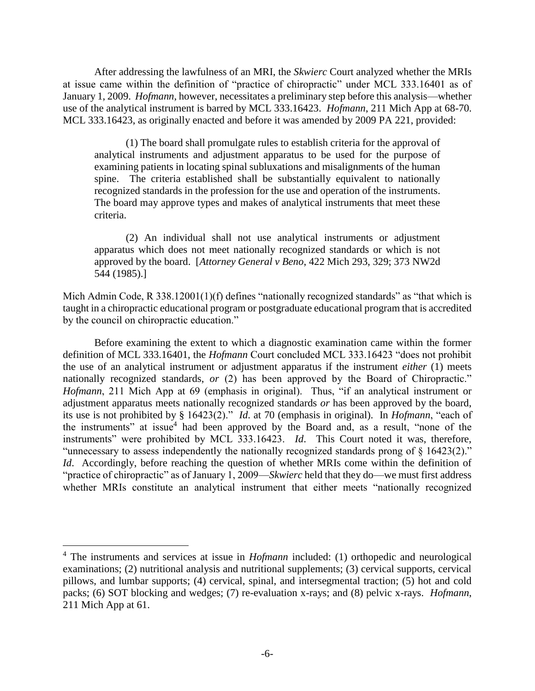After addressing the lawfulness of an MRI, the *Skwierc* Court analyzed whether the MRIs at issue came within the definition of "practice of chiropractic" under MCL 333.16401 as of January 1, 2009. *Hofmann*, however, necessitates a preliminary step before this analysis—whether use of the analytical instrument is barred by MCL 333.16423. *Hofmann*, 211 Mich App at 68-70. MCL 333.16423, as originally enacted and before it was amended by 2009 PA 221, provided:

(1) The board shall promulgate rules to establish criteria for the approval of analytical instruments and adjustment apparatus to be used for the purpose of examining patients in locating spinal subluxations and misalignments of the human spine. The criteria established shall be substantially equivalent to nationally recognized standards in the profession for the use and operation of the instruments. The board may approve types and makes of analytical instruments that meet these criteria.

(2) An individual shall not use analytical instruments or adjustment apparatus which does not meet nationally recognized standards or which is not approved by the board. [*Attorney General v Beno*, 422 Mich 293, 329; 373 NW2d 544 (1985).]

Mich Admin Code, R 338.12001(1)(f) defines "nationally recognized standards" as "that which is taught in a chiropractic educational program or postgraduate educational program that is accredited by the council on chiropractic education."

Before examining the extent to which a diagnostic examination came within the former definition of MCL 333.16401, the *Hofmann* Court concluded MCL 333.16423 "does not prohibit the use of an analytical instrument or adjustment apparatus if the instrument *either* (1) meets nationally recognized standards, *or* (2) has been approved by the Board of Chiropractic." *Hofmann*, 211 Mich App at 69 (emphasis in original). Thus, "if an analytical instrument or adjustment apparatus meets nationally recognized standards *or* has been approved by the board, its use is not prohibited by § 16423(2)." *Id*. at 70 (emphasis in original). In *Hofmann*, "each of the instruments" at issue<sup>4</sup> had been approved by the Board and, as a result, "none of the instruments" were prohibited by MCL 333.16423. *Id*. This Court noted it was, therefore, "unnecessary to assess independently the nationally recognized standards prong of § 16423(2)." *Id.* Accordingly, before reaching the question of whether MRIs come within the definition of "practice of chiropractic" as of January 1, 2009—*Skwierc* held that they do—we must first address whether MRIs constitute an analytical instrument that either meets "nationally recognized

<sup>4</sup> The instruments and services at issue in *Hofmann* included: (1) orthopedic and neurological examinations; (2) nutritional analysis and nutritional supplements; (3) cervical supports, cervical pillows, and lumbar supports; (4) cervical, spinal, and intersegmental traction; (5) hot and cold packs; (6) SOT blocking and wedges; (7) re-evaluation x-rays; and (8) pelvic x-rays. *Hofmann*, 211 Mich App at 61.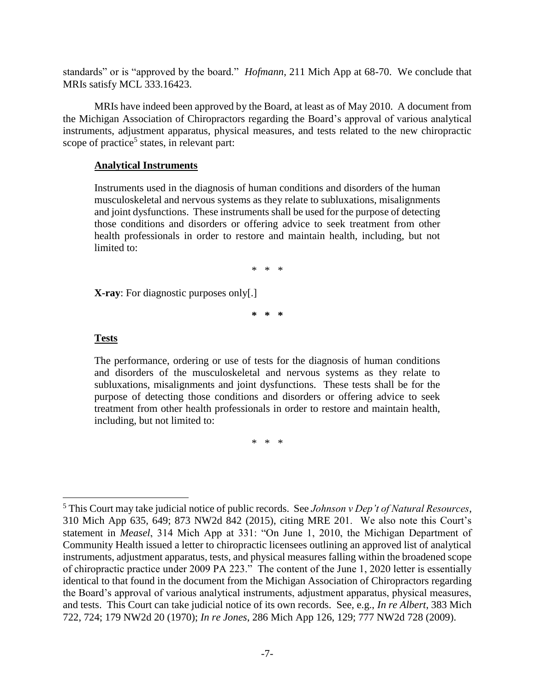standards" or is "approved by the board." *Hofmann*, 211 Mich App at 68-70. We conclude that MRIs satisfy MCL 333.16423.

MRIs have indeed been approved by the Board, at least as of May 2010. A document from the Michigan Association of Chiropractors regarding the Board's approval of various analytical instruments, adjustment apparatus, physical measures, and tests related to the new chiropractic scope of practice<sup>5</sup> states, in relevant part:

### **Analytical Instruments**

Instruments used in the diagnosis of human conditions and disorders of the human musculoskeletal and nervous systems as they relate to subluxations, misalignments and joint dysfunctions. These instruments shall be used for the purpose of detecting those conditions and disorders or offering advice to seek treatment from other health professionals in order to restore and maintain health, including, but not limited to:

\* \* \*

**X-ray**: For diagnostic purposes only[.]

**\* \* \***

### **Tests**

 $\overline{a}$ 

The performance, ordering or use of tests for the diagnosis of human conditions and disorders of the musculoskeletal and nervous systems as they relate to subluxations, misalignments and joint dysfunctions. These tests shall be for the purpose of detecting those conditions and disorders or offering advice to seek treatment from other health professionals in order to restore and maintain health, including, but not limited to:

\* \* \*

<sup>5</sup> This Court may take judicial notice of public records. See *Johnson v Dep't of Natural Resources*, 310 Mich App 635, 649; 873 NW2d 842 (2015), citing MRE 201. We also note this Court's statement in *Measel*, 314 Mich App at 331: "On June 1, 2010, the Michigan Department of Community Health issued a letter to chiropractic licensees outlining an approved list of analytical instruments, adjustment apparatus, tests, and physical measures falling within the broadened scope of chiropractic practice under 2009 PA 223." The content of the June 1, 2020 letter is essentially identical to that found in the document from the Michigan Association of Chiropractors regarding the Board's approval of various analytical instruments, adjustment apparatus, physical measures, and tests. This Court can take judicial notice of its own records. See, e.g., *In re Albert*, 383 Mich 722, 724; 179 NW2d 20 (1970); *In re Jones*, 286 Mich App 126, 129; 777 NW2d 728 (2009).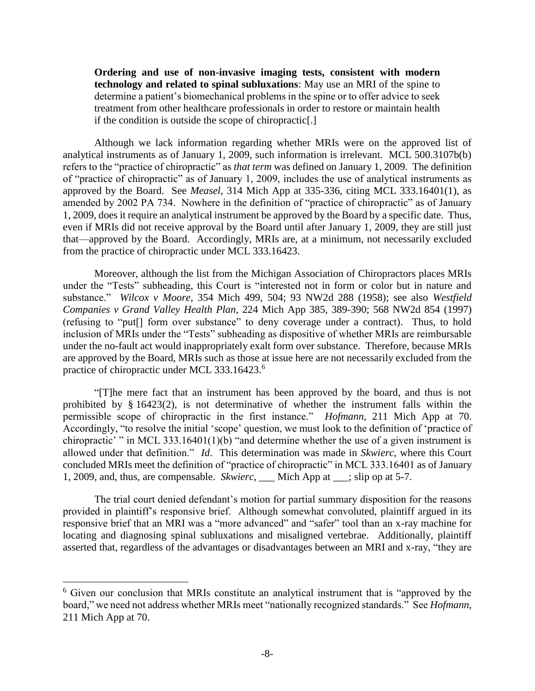**Ordering and use of non-invasive imaging tests, consistent with modern technology and related to spinal subluxations**: May use an MRI of the spine to determine a patient's biomechanical problems in the spine or to offer advice to seek treatment from other healthcare professionals in order to restore or maintain health if the condition is outside the scope of chiropractic[.]

Although we lack information regarding whether MRIs were on the approved list of analytical instruments as of January 1, 2009, such information is irrelevant. MCL 500.3107b(b) refers to the "practice of chiropractic" as *that term* was defined on January 1, 2009. The definition of "practice of chiropractic" as of January 1, 2009, includes the use of analytical instruments as approved by the Board. See *Measel*, 314 Mich App at 335-336, citing MCL 333.16401(1), as amended by 2002 PA 734. Nowhere in the definition of "practice of chiropractic" as of January 1, 2009, does it require an analytical instrument be approved by the Board by a specific date. Thus, even if MRIs did not receive approval by the Board until after January 1, 2009, they are still just that—approved by the Board. Accordingly, MRIs are, at a minimum, not necessarily excluded from the practice of chiropractic under MCL 333.16423.

Moreover, although the list from the Michigan Association of Chiropractors places MRIs under the "Tests" subheading, this Court is "interested not in form or color but in nature and substance." *Wilcox v Moore*, 354 Mich 499, 504; 93 NW2d 288 (1958); see also *Westfield Companies v Grand Valley Health Plan*, 224 Mich App 385, 389-390; 568 NW2d 854 (1997) (refusing to "put[] form over substance" to deny coverage under a contract). Thus, to hold inclusion of MRIs under the "Tests" subheading as dispositive of whether MRIs are reimbursable under the no-fault act would inappropriately exalt form over substance. Therefore, because MRIs are approved by the Board, MRIs such as those at issue here are not necessarily excluded from the practice of chiropractic under MCL 333.16423.<sup>6</sup>

"[T]he mere fact that an instrument has been approved by the board, and thus is not prohibited by § 16423(2), is not determinative of whether the instrument falls within the permissible scope of chiropractic in the first instance." *Hofmann*, 211 Mich App at 70. Accordingly, "to resolve the initial 'scope' question, we must look to the definition of 'practice of chiropractic' " in MCL 333.16401(1)(b) "and determine whether the use of a given instrument is allowed under that definition." *Id*. This determination was made in *Skwierc*, where this Court concluded MRIs meet the definition of "practice of chiropractic" in MCL 333.16401 as of January 1, 2009, and, thus, are compensable. *Skwierc*, \_\_\_ Mich App at \_\_\_; slip op at 5-7.

The trial court denied defendant's motion for partial summary disposition for the reasons provided in plaintiff's responsive brief. Although somewhat convoluted, plaintiff argued in its responsive brief that an MRI was a "more advanced" and "safer" tool than an x-ray machine for locating and diagnosing spinal subluxations and misaligned vertebrae. Additionally, plaintiff asserted that, regardless of the advantages or disadvantages between an MRI and x-ray, "they are

<sup>&</sup>lt;sup>6</sup> Given our conclusion that MRIs constitute an analytical instrument that is "approved by the board," we need not address whether MRIs meet "nationally recognized standards." See *Hofmann*, 211 Mich App at 70.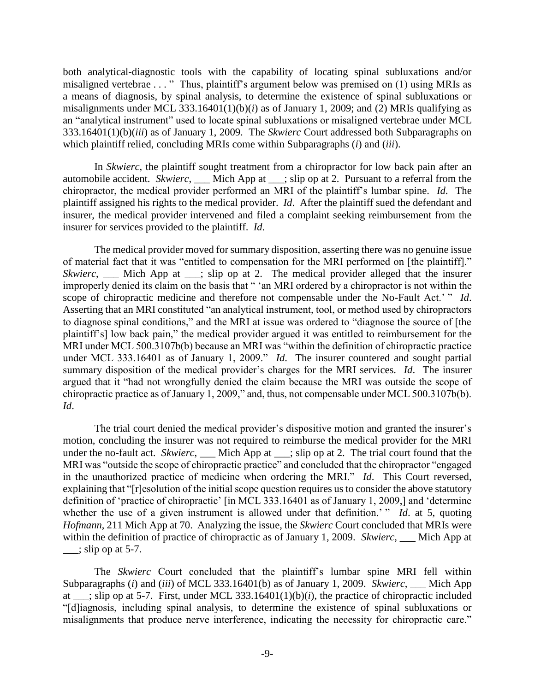both analytical-diagnostic tools with the capability of locating spinal subluxations and/or misaligned vertebrae . . . " Thus, plaintiff's argument below was premised on (1) using MRIs as a means of diagnosis, by spinal analysis, to determine the existence of spinal subluxations or misalignments under MCL 333.16401(1)(b)(*i*) as of January 1, 2009; and (2) MRIs qualifying as an "analytical instrument" used to locate spinal subluxations or misaligned vertebrae under MCL 333.16401(1)(b)(*iii*) as of January 1, 2009. The *Skwierc* Court addressed both Subparagraphs on which plaintiff relied, concluding MRIs come within Subparagraphs (*i*) and (*iii*).

In *Skwierc*, the plaintiff sought treatment from a chiropractor for low back pain after an automobile accident. *Skwierc*, \_\_\_ Mich App at \_\_\_; slip op at 2. Pursuant to a referral from the chiropractor, the medical provider performed an MRI of the plaintiff's lumbar spine. *Id*. The plaintiff assigned his rights to the medical provider. *Id*. After the plaintiff sued the defendant and insurer, the medical provider intervened and filed a complaint seeking reimbursement from the insurer for services provided to the plaintiff. *Id*.

The medical provider moved for summary disposition, asserting there was no genuine issue of material fact that it was "entitled to compensation for the MRI performed on [the plaintiff]." *Skwierc*, \_\_\_ Mich App at \_\_; slip op at 2. The medical provider alleged that the insurer improperly denied its claim on the basis that " 'an MRI ordered by a chiropractor is not within the scope of chiropractic medicine and therefore not compensable under the No-Fault Act.' " *Id*. Asserting that an MRI constituted "an analytical instrument, tool, or method used by chiropractors to diagnose spinal conditions," and the MRI at issue was ordered to "diagnose the source of [the plaintiff's] low back pain," the medical provider argued it was entitled to reimbursement for the MRI under MCL 500.3107b(b) because an MRI was "within the definition of chiropractic practice under MCL 333.16401 as of January 1, 2009." *Id*. The insurer countered and sought partial summary disposition of the medical provider's charges for the MRI services. *Id*. The insurer argued that it "had not wrongfully denied the claim because the MRI was outside the scope of chiropractic practice as of January 1, 2009," and, thus, not compensable under MCL 500.3107b(b). *Id*.

The trial court denied the medical provider's dispositive motion and granted the insurer's motion, concluding the insurer was not required to reimburse the medical provider for the MRI under the no-fault act. *Skwierc*, \_\_\_ Mich App at \_\_\_; slip op at 2. The trial court found that the MRI was "outside the scope of chiropractic practice" and concluded that the chiropractor "engaged in the unauthorized practice of medicine when ordering the MRI." *Id*. This Court reversed, explaining that "[r]esolution of the initial scope question requires us to consider the above statutory definition of 'practice of chiropractic' [in MCL 333.16401 as of January 1, 2009,] and 'determine whether the use of a given instrument is allowed under that definition.' " *Id.* at 5, quoting *Hofmann*, 211 Mich App at 70. Analyzing the issue, the *Skwierc* Court concluded that MRIs were within the definition of practice of chiropractic as of January 1, 2009. *Skwierc*, \_\_\_ Mich App at  $\frac{\ }{}$   $\frac{1}{\sinh \theta}$  op at 5-7.

The *Skwierc* Court concluded that the plaintiff's lumbar spine MRI fell within Subparagraphs (*i*) and (*iii*) of MCL 333.16401(b) as of January 1, 2009. *Skwierc*, \_\_\_ Mich App at \_\_\_; slip op at 5-7. First, under MCL 333.16401(1)(b)(*i*), the practice of chiropractic included "[d]iagnosis, including spinal analysis, to determine the existence of spinal subluxations or misalignments that produce nerve interference, indicating the necessity for chiropractic care."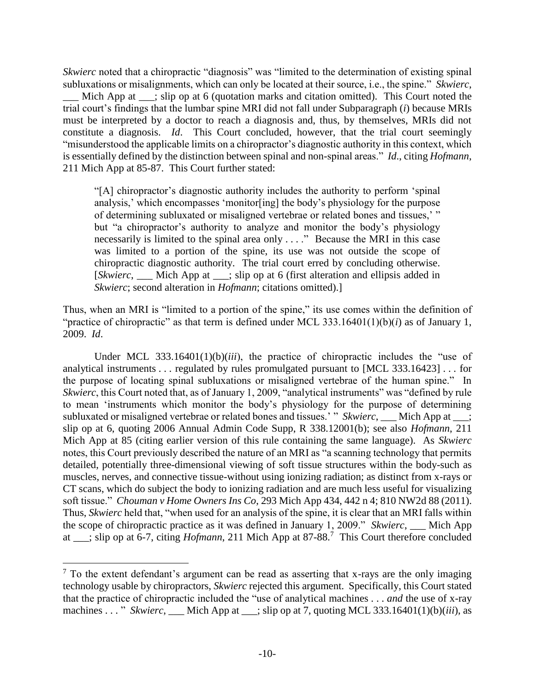*Skwierc* noted that a chiropractic "diagnosis" was "limited to the determination of existing spinal subluxations or misalignments, which can only be located at their source, i.e., the spine." *Skwierc*, Mich App at \_\_\_; slip op at 6 (quotation marks and citation omitted). This Court noted the trial court's findings that the lumbar spine MRI did not fall under Subparagraph (*i*) because MRIs must be interpreted by a doctor to reach a diagnosis and, thus, by themselves, MRIs did not constitute a diagnosis. *Id*. This Court concluded, however, that the trial court seemingly "misunderstood the applicable limits on a chiropractor's diagnostic authority in this context, which is essentially defined by the distinction between spinal and non-spinal areas." *Id*., citing *Hofmann*, 211 Mich App at 85-87. This Court further stated:

"[A] chiropractor's diagnostic authority includes the authority to perform 'spinal analysis,' which encompasses 'monitor[ing] the body's physiology for the purpose of determining subluxated or misaligned vertebrae or related bones and tissues,' " but "a chiropractor's authority to analyze and monitor the body's physiology necessarily is limited to the spinal area only . . . ." Because the MRI in this case was limited to a portion of the spine, its use was not outside the scope of chiropractic diagnostic authority. The trial court erred by concluding otherwise. [*Skwierc*, \_\_\_ Mich App at \_\_\_; slip op at 6 (first alteration and ellipsis added in *Skwierc*; second alteration in *Hofmann*; citations omitted).]

Thus, when an MRI is "limited to a portion of the spine," its use comes within the definition of "practice of chiropractic" as that term is defined under MCL 333.16401(1)(b)(*i*) as of January 1, 2009. *Id*.

Under MCL 333.16401(1)(b)(*iii*), the practice of chiropractic includes the "use of analytical instruments . . . regulated by rules promulgated pursuant to [MCL 333.16423] . . . for the purpose of locating spinal subluxations or misaligned vertebrae of the human spine." In *Skwierc*, this Court noted that, as of January 1, 2009, "analytical instruments" was "defined by rule to mean 'instruments which monitor the body's physiology for the purpose of determining subluxated or misaligned vertebrae or related bones and tissues.' " *Skwierc*, \_\_\_ Mich App at \_\_\_; slip op at 6, quoting 2006 Annual Admin Code Supp, R 338.12001(b); see also *Hofmann*, 211 Mich App at 85 (citing earlier version of this rule containing the same language). As *Skwierc* notes, this Court previously described the nature of an MRI as "a scanning technology that permits detailed, potentially three-dimensional viewing of soft tissue structures within the body-such as muscles, nerves, and connective tissue-without using ionizing radiation; as distinct from x-rays or CT scans, which do subject the body to ionizing radiation and are much less useful for visualizing soft tissue." *Chouman v Home Owners Ins Co*, 293 Mich App 434, 442 n 4; 810 NW2d 88 (2011). Thus, *Skwierc* held that, "when used for an analysis of the spine, it is clear that an MRI falls within the scope of chiropractic practice as it was defined in January 1, 2009." *Skwierc*, \_\_\_ Mich App at \_\_\_; slip op at 6-7, citing *Hofmann*, 211 Mich App at 87-88.<sup>7</sup> This Court therefore concluded

 $<sup>7</sup>$  To the extent defendant's argument can be read as asserting that x-rays are the only imaging</sup> technology usable by chiropractors, *Skwierc* rejected this argument. Specifically, this Court stated that the practice of chiropractic included the "use of analytical machines . . . *and* the use of x-ray machines . . . " *Skwierc*, Mich App at ; slip op at 7, quoting MCL 333.16401(1)(b)(*iii*), as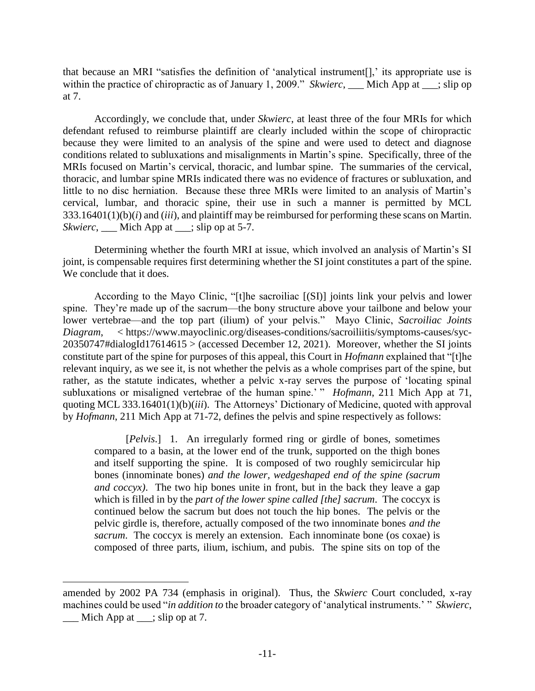that because an MRI "satisfies the definition of 'analytical instrument[],' its appropriate use is within the practice of chiropractic as of January 1, 2009." *Skwierc*, Mich App at ; slip op at 7.

Accordingly, we conclude that, under *Skwierc*, at least three of the four MRIs for which defendant refused to reimburse plaintiff are clearly included within the scope of chiropractic because they were limited to an analysis of the spine and were used to detect and diagnose conditions related to subluxations and misalignments in Martin's spine. Specifically, three of the MRIs focused on Martin's cervical, thoracic, and lumbar spine. The summaries of the cervical, thoracic, and lumbar spine MRIs indicated there was no evidence of fractures or subluxation, and little to no disc herniation. Because these three MRIs were limited to an analysis of Martin's cervical, lumbar, and thoracic spine, their use in such a manner is permitted by MCL 333.16401(1)(b)(*i*) and (*iii*), and plaintiff may be reimbursed for performing these scans on Martin. *Skwierc*, Mich App at ; slip op at 5-7.

Determining whether the fourth MRI at issue, which involved an analysis of Martin's SI joint, is compensable requires first determining whether the SI joint constitutes a part of the spine. We conclude that it does.

According to the Mayo Clinic, "[t]he sacroiliac [(SI)] joints link your pelvis and lower spine. They're made up of the sacrum—the bony structure above your tailbone and below your lower vertebrae—and the top part (ilium) of your pelvis." Mayo Clinic, *Sacroiliac Joints Diagram*, < https://www.mayoclinic.org/diseases-conditions/sacroiliitis/symptoms-causes/syc-20350747#dialogId17614615 > (accessed December 12, 2021). Moreover, whether the SI joints constitute part of the spine for purposes of this appeal, this Court in *Hofmann* explained that "[t]he relevant inquiry, as we see it, is not whether the pelvis as a whole comprises part of the spine, but rather, as the statute indicates, whether a pelvic x-ray serves the purpose of 'locating spinal subluxations or misaligned vertebrae of the human spine.' " *Hofmann*, 211 Mich App at 71, quoting MCL 333.16401(1)(b)(*iii*). The Attorneys' Dictionary of Medicine, quoted with approval by *Hofmann*, 211 Mich App at 71-72, defines the pelvis and spine respectively as follows:

[*Pelvis*.] 1. An irregularly formed ring or girdle of bones, sometimes compared to a basin, at the lower end of the trunk, supported on the thigh bones and itself supporting the spine. It is composed of two roughly semicircular hip bones (innominate bones) *and the lower, wedgeshaped end of the spine (sacrum and coccyx)*. The two hip bones unite in front, but in the back they leave a gap which is filled in by the *part of the lower spine called [the] sacrum*. The coccyx is continued below the sacrum but does not touch the hip bones. The pelvis or the pelvic girdle is, therefore, actually composed of the two innominate bones *and the sacrum*. The coccyx is merely an extension. Each innominate bone (os coxae) is composed of three parts, ilium, ischium, and pubis. The spine sits on top of the

amended by 2002 PA 734 (emphasis in original). Thus, the *Skwierc* Court concluded, x-ray machines could be used "*in addition to* the broader category of 'analytical instruments.' " *Skwierc*,  $\Box$  Mich App at  $\Box$ ; slip op at 7.